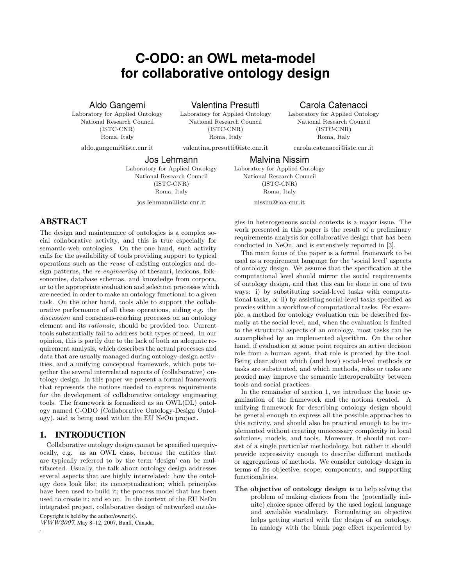# **C-ODO: an OWL meta-model for collaborative ontology design**

Valentina Presutti Laboratory for Applied Ontology National Research Council

## Aldo Gangemi

Laboratory for Applied Ontology National Research Council (ISTC-CNR) Roma, Italy aldo.gangemi@istc.cnr.it

(ISTC-CNR) Roma, Italy

valentina.presutti@istc.cnr.it

# Carola Catenacci

Laboratory for Applied Ontology National Research Council (ISTC-CNR) Roma, Italy

carola.catenacci@istc.cnr.it

Jos Lehmann

Laboratory for Applied Ontology National Research Council (ISTC-CNR) Roma, Italy jos.lehmann@istc.cnr.it

Malvina Nissim Laboratory for Applied Ontology National Research Council

(ISTC-CNR) Roma, Italy nissim@loa-cnr.it

# ABSTRACT

The design and maintenance of ontologies is a complex social collaborative activity, and this is true especially for semantic-web ontologies. On the one hand, such activity calls for the availability of tools providing support to typical operations such as the reuse of existing ontologies and design patterns, the re-engineering of thesauri, lexicons, folksonomies, database schemas, and knowledge from corpora, or to the appropriate evaluation and selection processes which are needed in order to make an ontology functional to a given task. On the other hand, tools able to support the collaborative performance of all these operations, aiding e.g. the discussion and consensus-reaching processes on an ontology element and its rationale, should be provided too. Current tools substantially fail to address both types of need. In our opinion, this is partly due to the lack of both an adequate requirement analysis, which describes the actual processes and data that are usually managed during ontology-design activities, and a unifying conceptual framework, which puts together the several interrelated aspects of (collaborative) ontology design. In this paper we present a formal framework that represents the notions needed to express requirements for the development of collaborative ontology engineering tools. The framework is formalized as an OWL(DL) ontology named C-ODO (Collaborative Ontology-Design Ontology), and is being used within the EU NeOn project.

## 1. INTRODUCTION

Collaborative ontology design cannot be specified unequivocally, e.g. as an OWL class, because the entities that are typically referred to by the term 'design' can be multifaceted. Usually, the talk about ontology design addresses several aspects that are highly interrelated: how the ontology does look like; its conceptualization; which principles have been used to build it; the process model that has been used to create it; and so on. In the context of the EU NeOn integrated project, collaborative design of networked ontolo-Copyright is held by the author/owner(s).

WWW2007, May 8–12, 2007, Banff, Canada.

.

gies in heterogeneous social contexts is a major issue. The work presented in this paper is the result of a preliminary requirements analysis for collaborative design that has been conducted in NeOn, and is extensively reported in [3].

The main focus of the paper is a formal framework to be used as a requirement language for the 'social level' aspects of ontology design. We assume that the specification at the computational level should mirror the social requirements of ontology design, and that this can be done in one of two ways: i) by substituting social-level tasks with computational tasks, or ii) by assisting social-level tasks specified as proxies within a workflow of computational tasks. For example, a method for ontology evaluation can be described formally at the social level, and, when the evaluation is limited to the structural aspects of an ontology, most tasks can be accomplished by an implemented algorithm. On the other hand, if evaluation at some point requires an active decision role from a human agent, that role is proxied by the tool. Being clear about which (and how) social-level methods or tasks are substituted, and which methods, roles or tasks are proxied may improve the semantic interoperability between tools and social practices.

In the remainder of section 1, we introduce the basic organization of the framework and the notions treated. A unifying framework for describing ontology design should be general enough to express all the possible approaches to this activity, and should also be practical enough to be implemented without creating unnecessary complexity in local solutions, models, and tools. Moreover, it should not consist of a single particular methodology, but rather it should provide expressivity enough to describe different methods or aggregations of methods. We consider ontology design in terms of its objective, scope, components, and supporting functionalities.

The objective of ontology design is to help solving the problem of making choices from the (potentially infinite) choice space offered by the used logical language and available vocabulary. Formulating an objective helps getting started with the design of an ontology. In analogy with the blank page effect experienced by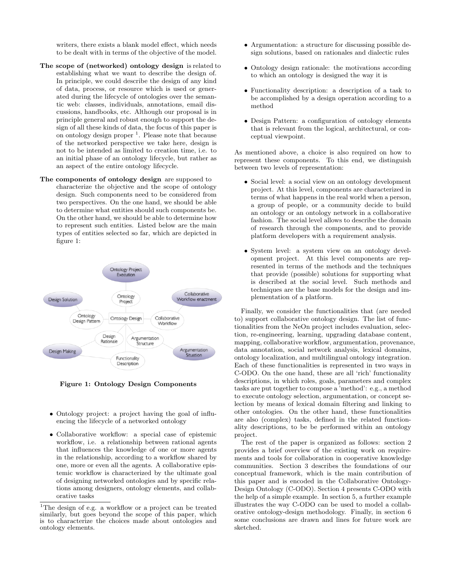writers, there exists a blank model effect, which needs to be dealt with in terms of the objective of the model.

- The scope of (networked) ontology design is related to establishing what we want to describe the design of. In principle, we could describe the design of any kind of data, process, or resource which is used or generated during the lifecycle of ontologies over the semantic web: classes, individuals, annotations, email discussions, handbooks, etc. Although our proposal is in principle general and robust enough to support the design of all these kinds of data, the focus of this paper is on ontology design proper<sup>1</sup>. Please note that because of the networked perspective we take here, design is not to be intended as limited to creation time, i.e. to an initial phase of an ontology lifecycle, but rather as an aspect of the entire ontology lifecycle.
- The components of ontology design are supposed to characterize the objective and the scope of ontology design. Such components need to be considered from two perspectives. On the one hand, we should be able to determine what entities should such components be. On the other hand, we should be able to determine how to represent such entities. Listed below are the main types of entities selected so far, which are depicted in figure 1:



Figure 1: Ontology Design Components

- Ontology project: a project having the goal of influencing the lifecycle of a networked ontology
- Collaborative workflow: a special case of epistemic workflow, i.e. a relationship between rational agents that influences the knowledge of one or more agents in the relationship, according to a workflow shared by one, more or even all the agents. A collaborative epistemic workflow is characterized by the ultimate goal of designing networked ontologies and by specific relations among designers, ontology elements, and collaborative tasks
- Argumentation: a structure for discussing possible design solutions, based on rationales and dialectic rules
- Ontology design rationale: the motivations according to which an ontology is designed the way it is
- Functionality description: a description of a task to be accomplished by a design operation according to a method
- Design Pattern: a configuration of ontology elements that is relevant from the logical, architectural, or conceptual viewpoint.

As mentioned above, a choice is also required on how to represent these components. To this end, we distinguish between two levels of representation:

- Social level: a social view on an ontology development project. At this level, components are characterized in terms of what happens in the real world when a person, a group of people, or a community decide to build an ontology or an ontology network in a collaborative fashion. The social level allows to describe the domain of research through the components, and to provide platform developers with a requirement analysis.
- System level: a system view on an ontology development project. At this level components are represented in terms of the methods and the techniques that provide (possible) solutions for supporting what is described at the social level. Such methods and techniques are the base models for the design and implementation of a platform.

Finally, we consider the functionalities that (are needed to) support collaborative ontology design. The list of functionalities from the NeOn project includes evaluation, selection, re-engineering, learning, upgrading database content, mapping, collaborative workflow, argumentation, provenance, data annotation, social network analysis, lexical domains, ontology localization, and multilingual ontology integration. Each of these functionalities is represented in two ways in C-ODO. On the one hand, these are all 'rich' functionality descriptions, in which roles, goals, parameters and complex tasks are put together to compose a 'method': e.g., a method to execute ontology selection, argumentation, or concept selection by means of lexical domain filtering and linking to other ontologies. On the other hand, these functionalities are also (complex) tasks, defined in the related functionality descriptions, to be be performed within an ontology project.

The rest of the paper is organized as follows: section 2 provides a brief overview of the existing work on requirements and tools for collaboration in cooperative knowledge communities. Section 3 describes the foundations of our conceptual framework, which is the main contribution of this paper and is encoded in the Collaborative Ontology-Design Ontology (C-ODO). Section 4 presents C-ODO with the help of a simple example. In section 5, a further example illustrates the way C-ODO can be used to model a collaborative ontology-design methodology. Finally, in section 6 some conclusions are drawn and lines for future work are sketched.

 $^1 \mathrm{The}$  design of e.g. a workflow or a project can be treated similarly, but goes beyond the scope of this paper, which is to characterize the choices made about ontologies and ontology elements.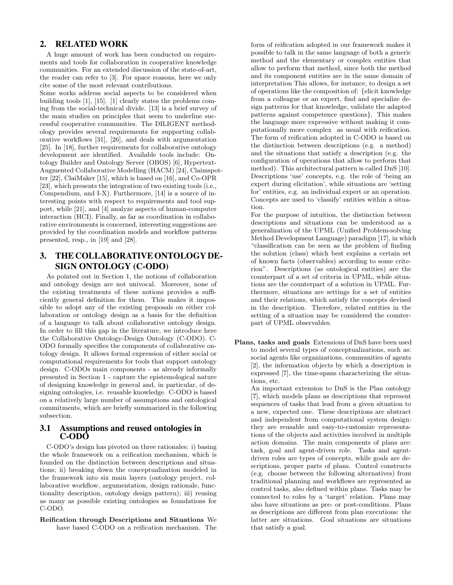## 2. RELATED WORK

A huge amount of work has been conducted on requirements and tools for collaboration in cooperative knowledge communities. For an extended discussion of the state-of-art, the reader can refer to [3]. For space reasons, here we only cite some of the most relevant contributions.

Some works address social aspects to be considered when building tools [1], [15]. [1] clearly states the problems coming from the social-technical divide. [13] is a brief survey of the main studies on principles that seem to underline successful cooperative communities. The DILIGENT methodology provides several requirements for supporting collaborative workflows [31], [26], and deals with argumentation [25]. In [18], further requirements for collaborative ontology development are identified. Available tools include: Ontology Builder and Ontology Server (OBOS) [6], Hypertext-Augmented Collaborative Modelling (HACM) [24], Claimspotter [22], ClaiMaker [15], which is based on [16], and Co-OPR [23], which presents the integration of two existing tools (i.e., Compendium, and I-X). Furthermore, [14] is a source of interesting points with respect to requirements and tool support, while [21], and [4] analyze aspects of human-computer interaction (HCI). Finally, as far as coordination in collaborative environments is concerned, interesting suggestions are provided by the coordination models and workflow patterns presented, resp., in [19] and [28].

# 3. THE COLLABORATIVE ONTOLOGY DE-SIGN ONTOLOGY (C-ODO)

As pointed out in Section 1, the notions of collaboration and ontology design are not univocal. Moreover, none of the existing treatments of these notions provides a sufficiently general definition for them. This makes it impossible to adopt any of the existing proposals on either collaboration or ontology design as a basis for the definition of a language to talk about collaborative ontology design. In order to fill this gap in the literature, we introduce here the Collaborative Ontology-Design Ontology (C-ODO). C-ODO formally specifies the components of collaborative ontology design. It allows formal expression of either social or computational requirements for tools that support ontology design. C-ODOs main components - as already informally presented in Section 1 - capture the epistemological nature of designing knowledge in general and, in particular, of designing ontologies, i.e. reusable knowledge. C-ODO is based on a relatively large number of assumptions and ontological commitments, which are briefly summarized in the following subsection.

#### 3.1 Assumptions and reused ontologies in C-ODO

C-ODO's design has pivoted on three rationales: i) basing the whole framework on a reification mechanism, which is founded on the distinction between descriptions and situations; ii) breaking down the conceptualization modeled in the framework into six main layers (ontology project, collaborative workflow, argumentation, design rationale, functionality description, ontology design pattern); iii) reusing as many as possible existing ontologies as foundations for C-ODO.

#### Reification through Descriptions and Situations We have based C-ODO on a reification mechanism. The

form of reification adopted in our framework makes it possible to talk in the same language of both a generic method and the elementary or complex entities that allow to perform that method, since both the method and its component entities are in the same domain of interpretation This allows, for instance, to design a set of operations like the composition of: {elicit knowledge from a colleague or an expert, find and specialize design patterns for that knowledge, validate the adapted patterns against competence questions}. This makes the language more expressive without making it computationally more complex as usual with reification. The form of reification adopted in C-ODO is based on the distinction between descriptions (e.g. a method) and the situations that satisfy a description (e.g. the configuration of operations that allow to perform that method). This architectural pattern is called DnS [10]. Descriptions 'use' concepts, e.g. the role of 'being an expert during elicitation', while situations are 'setting for' entities, e.g. an individual expert or an operation. Concepts are used to 'classify' entities within a situation.

For the purpose of intuition, the distinction between descriptions and situations can be understood as a generalization of the UPML (Unified Problem-solving Method Development Language) paradigm [17], in which "classification can be seen as the problem of finding the solution (class) which best explains a certain set of known facts (observables) according to some criterion". Descriptions (as ontological entities) are the counterpart of a set of criteria in UPML, while situations are the counterpart of a solution in UPML. Furthermore, situations are settings for a set of entities and their relations, which satisfy the concepts devised in the description. Therefore, related entities in the setting of a situation may be considered the counterpart of UPML observables.

Plans, tasks and goals Extensions of DnS have been used to model several types of conceptualizations, such as: social agents like organizations, communities of agents [2], the information objects by which a description is expressed [7], the time-spans characterizing the situations, etc.

An important extension to DnS is the Plan ontology [7], which models plans as descriptions that represent sequences of tasks that lead from a given situation to a new, expected one. These descriptions are abstract and independent from computational system design: they are reusable and easy-to-customize representations of the objects and activities involved in multiple action domains. The main components of plans are: task, goal and agent-driven role. Tasks and agentdriven roles are types of concepts, while goals are descriptions, proper parts of plans. Control constructs (e.g. choose between the following alternatives) from traditional planning and workflows are represented as control tasks, also defined within plans. Tasks may be connected to roles by a 'target' relation. Plans may also have situations as pre- or post-conditions. Plans as descriptions are different from plan executions: the latter are situations. Goal situations are situations that satisfy a goal.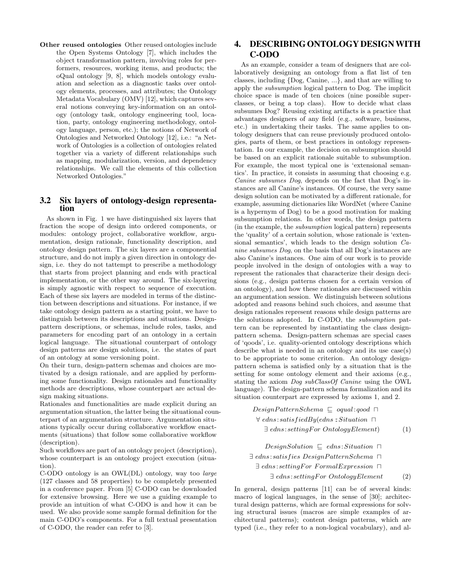Other reused ontologies Other reused ontologies include the Open Systems Ontology [7], which includes the object transformation pattern, involving roles for performers, resources, working items, and products; the oQual ontology [9, 8], which models ontology evaluation and selection as a diagnostic tasks over ontology elements, processes, and attributes; the Ontology Metadata Vocabulary (OMV) [12], which captures several notions conveying key-information on an ontology (ontology task, ontology engineering tool, location, party, ontology engineering methodology, ontology language, person, etc.); the notions of Network of Ontologies and Networked Ontology [12], i.e.: "a Network of Ontologies is a collection of ontologies related together via a variety of different relationships such as mapping, modularization, version, and dependency relationships. We call the elements of this collection Networked Ontologies."

#### 3.2 Six layers of ontology-design representation

As shown in Fig. 1 we have distinguished six layers that fraction the scope of design into ordered components, or modules: ontology project, collaborative workflow, argumentation, design rationale, functionality description, and ontology design pattern. The six layers are a componential structure, and do not imply a given direction in ontology design, i.e. they do not tattempt to prescribe a methodology that starts from project planning and ends with practical implementation, or the other way around. The six-layering is simply agnostic with respect to sequence of execution. Each of these six layers are modeled in terms of the distinction between descriptions and situations. For instance, if we take ontology design pattern as a starting point, we have to distinguish between its descriptions and situations. Designpattern descriptions, or schemas, include roles, tasks, and parameters for encoding part of an ontology in a certain logical language. The situational counterpart of ontology design patterns are design solutions, i.e. the states of part of an ontology at some versioning point.

On their turn, design-pattern schemas and choices are motivated by a design rationale, and are applied by performing some functionality. Design rationales and functionality methods are descriptions, whose counterpart are actual design making situations.

Rationales and functionalities are made explicit during an argumentation situation, the latter being the situational counterpart of an argumentation structure. Argumentation situations typically occur during collaborative workflow enactments (situations) that follow some collaborative workflow (description).

Such workflows are part of an ontology project (description), whose counterpart is an ontology project execution (situation).

C-ODO ontology is an OWL(DL) ontology, way too large (127 classes and 58 properties) to be completely presented in a conference paper. From [5] C-ODO can be downloaded for extensive browsing. Here we use a guiding example to provide an intuition of what C-ODO is and how it can be used. We also provide some sample formal definition for the main C-ODO's components. For a full textual presentation of C-ODO, the reader can refer to [3].

# 4. DESCRIBING ONTOLOGY DESIGNWITH C-ODO

As an example, consider a team of designers that are collaboratively designing an ontology from a flat list of ten classes, including {Dog, Canine, ...}, and that are willing to apply the subsumption logical pattern to Dog. The implicit choice space is made of ten choices (nine possible superclasses, or being a top class). How to decide what class subsumes Dog? Reusing existing artifacts is a practice that advantages designers of any field (e.g., software, business, etc.) in undertaking their tasks. The same applies to ontology designers that can reuse previously produced ontologies, parts of them, or best practices in ontology representation. In our example, the decision on subsumption should be based on an explicit rationale suitable to subsumption. For example, the most typical one is 'extensional semantics'. In practice, it consists in assuming that choosing e.g. Canine subsumes Dog, depends on the fact that Dog's instances are all Canine's instances. Of course, the very same design solution can be motivated by a different rationale, for example, assuming dictionaries like WordNet (where Canine is a hypernym of Dog) to be a good motivation for making subsumption relations. In other words, the design pattern (in the example, the subsumption logical pattern) represents the 'quality' of a certain solution, whose rationale is 'extensional semantics', which leads to the design solution Canine subsumes Dog, on the basis that all Dog's instances are also Canine's instances. One aim of our work is to provide people involved in the design of ontologies with a way to represent the rationales that characterize their design decisions (e.g., design patterns chosen for a certain version of an ontology), and how these rationales are discussed within an argumentation session. We distinguish between solutions adopted and reasons behind such choices, and assume that design rationales represent reasons while design patterns are the solutions adopted. In C-ODO, the subsumption pattern can be represented by instantiating the class designpattern schema. Design-pattern schemas are special cases of 'qoods', i.e. quality-oriented ontology descriptions which describe what is needed in an ontology and its use case(s) to be appropriate to some criterion. An ontology designpattern schema is satisfied only by a situation that is the setting for some ontology element and their axioms (e.g., stating the axiom Dog subClassOf Canine using the OWL language). The design-pattern schema formalization and its situation counterpart are expressed by axioms 1, and 2.

> $DesignPatternScheme \sqsubset equal:qood \sqcap$  $\forall$  edns: satisfiedBy(edns: Situation  $\Box$  $\exists$  edns: settingFor OntologyElement) (1)

 $DesignSolution \subseteq elns: Situation \sqcap$  $\exists$  edns: satisfies DesignPatternSchema  $\Box$  $\exists$  edns: settingFor FormalExpression  $\Box$  $\exists$  edns: settingFor OntologyElement (2)

In general, design patterns [11] can be of several kinds: macro of logical languages, in the sense of [30]; architectural design patterns, which are formal expressions for solving structural issues (macros are simple examples of architectural patterns); content design patterns, which are typed (i.e., they refer to a non-logical vocabulary), and al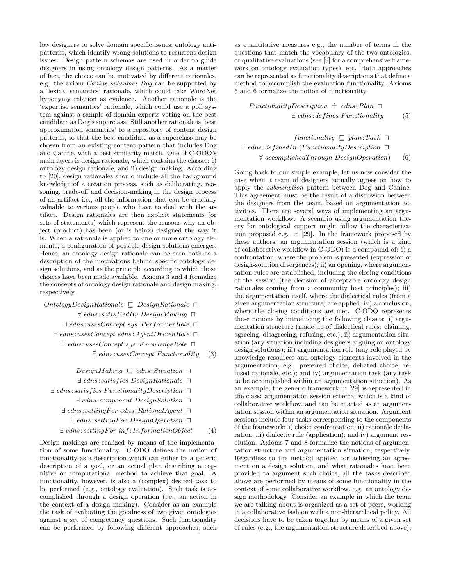low designers to solve domain specific issues; ontology antipatterns, which identify wrong solutions to recurrent design issues. Design pattern schemas are used in order to guide designers in using ontology design patterns. As a matter of fact, the choice can be motivated by different rationales, e.g. the axiom Canine subsumes Dog can be supported by a 'lexical semantics' rationale, which could take WordNet hyponymy relation as evidence. Another rationale is the 'expertise semantics' rationale, which could use a poll system against a sample of domain experts voting on the best candidate as Dog's superclass. Still another rationale is 'best approximation semantics' to a repository of content design patterns, so that the best candidate as a superclass may be chosen from an existing content pattern that includes Dog and Canine, with a best similarity match. One of C-ODO's main layers is design rationale, which contains the classes: i) ontology design rationale, and ii) design making. According to [20], design rationales should include all the background knowledge of a creation process, such as deliberating, reasoning, trade-off and decision-making in the design process of an artifact i.e., all the information that can be crucially valuable to various people who have to deal with the artifact. Design rationales are then explicit statements (or sets of statements) which represent the reasons why an object (product) has been (or is being) designed the way it is. When a rationale is applied to one or more ontology elements, a configuration of possible design solutions emerges. Hence, an ontology design rationale can be seen both as a description of the motivations behind specific ontology design solutions, and as the principle according to which those choices have been made available. Axioms 3 and 4 formalize the concepts of ontology design rationale and design making, respectively.

 $OntologyDesign Rational \n\subset DesignRatio 1$  $\forall$  edns: satis fiedBy DesignMaking  $\Box$  $\exists$  edns:usesConcept sys: PerformerRole  $\Box$ 

- $\exists$  edns:usesConcept edns:AgentDrivenRole  $\Box$ 
	- $\exists$  edns:usesConcept sys: KnowledgeRole  $\Box$ 
		- $\exists$  edns:usesConcept Functionality (3)

 $DesignMaking \subseteq elns: Situation \sqcap$ 

- $\exists$  edns: satisfies DesignRationale  $\Box$
- $\exists$  edns: satisfies FunctionalityDescription  $\Box$ 
	- $\exists$  edns: component DesignSolution  $\Box$
	- $\exists$  edns: settingFor edns: Rational Agent  $\Box$ 
		- $\exists$  edns: settingFor DesignOperation  $\Box$
	- $\exists$  edns: settingFor inf: InformationObject (4)

Design makings are realized by means of the implementation of some functionality. C-ODO defines the notion of functionality as a description which can either be a generic description of a goal, or an actual plan describing a cognitive or computational method to achieve that goal. A functionality, however, is also a (complex) desired task to be performed (e.g., ontology evaluation). Such task is accomplished through a design operation (i.e., an action in the context of a design making). Consider as an example the task of evaluating the goodness of two given ontologies against a set of competency questions. Such functionality can be performed by following different approaches, such

as quantitative measures e.g., the number of terms in the questions that match the vocabulary of the two ontologies, or qualitative evaluations (see [9] for a comprehensive framework on ontology evaluation types), etc. Both approaches can be represented as functionality descriptions that define a method to accomplish the evaluation functionality. Axioms 5 and 6 formalize the notion of functionality.

 $Function$   $\dot{=}$   $edns:Plan$   $\Box$  $\exists$  edns: defines Functionality (5)

functionality  $\Box$  plan: Task  $\Box$  $\exists$  edns: definedIn (FunctionalityDescription  $\Box$  $\forall$  accomplishedThrough DesignOperation) (6)

Going back to our simple example, let us now consider the case when a team of designers actually agrees on how to apply the subsumption pattern between Dog and Canine. This agreement must be the result of a discussion between the designers from the team, based on argumentation activities. There are several ways of implementing an argumentation workflow. A scenario using argumentation theory for ontological support might follow the characterization proposed e.g. in [29]. In the framework proposed by these authors, an argumentation session (which is a kind of collaborative workflow in C-ODO) is a compound of: i) a confrontation, where the problem is presented (expression of design-solution divergences); ii) an opening, where argumentation rules are established, including the closing conditions of the session (the decision of acceptable ontology design rationales coming from a community best principles); iii) the argumentation itself, where the dialectical rules (from a given argumentation structure) are applied; iv) a conclusion, where the closing conditions are met. C-ODO represents these notions by introducing the following classes: i) argumentation structure (made up of dialectical rules: claiming, agreeing, disagreeing, refusing, etc.); ii) argumentation situation (any situation including designers arguing on ontology design solutions); iii) argumentation role (any role played by knowledge resources and ontology elements involved in the argumentation, e.g. preferred choice, debated choice, refused rationale, etc.); and iv) argumentation task (any task to be accomplished within an argumentation situation). As an example, the generic framework in [29] is represented in the class: argumentation session schema, which is a kind of collaborative workflow, and can be enacted as an argumentation session within an argumentation situation. Argument sessions include four tasks corresponding to the components of the framework: i) choice confrontation; ii) rationale declaration; iii) dialectic rule (application); and iv) argument resolution. Axioms 7 and 8 formalize the notions of argumentation structure and argumentation situation, respectively. Regardless to the method applied for achieving an agreement on a design solution, and what rationales have been provided to argument such choice, all the tasks described above are performed by means of some functionality in the context of some collaborative workflow, e.g. an ontology design methodology. Consider an example in which the team we are talking about is organized as a set of peers, working in a collaborative fashion with a non-hierarchical policy. All decisions have to be taken together by means of a given set of rules (e.g., the argumentation structure described above),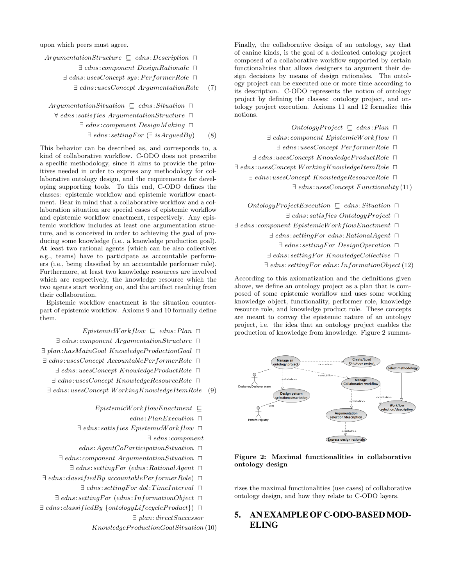upon which peers must agree.

| $ArgumentationStructure \subseteq elns:Description \sqcap$ |     |
|------------------------------------------------------------|-----|
| $\exists$ edns: component DesignRationale $\Box$           |     |
| $\exists$ edns:usesConcept sys:PerformerRole $\Box$        |     |
| $\exists$ edns:usesConcept ArgumentationRole               | (7) |

ArgumentationSituation  $\Box$  edns: Situation  $\Box$  $\forall$  edns: satisfies ArgumentationStructure  $\Box$  $\exists$  edns: component DesignMaking  $\Box$ 

 $\exists$  edns: settingFor ( $\exists$  isArquedBy) (8)

This behavior can be described as, and corresponds to, a kind of collaborative workflow. C-ODO does not prescribe a specific methodology, since it aims to provide the primitives needed in order to express any methodology for collaborative ontology design, and the requirements for developing supporting tools. To this end, C-ODO defines the classes: epistemic workflow and epistemic workflow enactment. Bear in mind that a collaborative workflow and a collaboration situation are special cases of epistemic workflow and epistemic workflow enactment, respectively. Any epistemic workflow includes at least one argumentation structure, and is conceived in order to achieving the goal of producing some knowledge (i.e., a knowledge production goal). At least two rational agents (which can be also collectives e.g., teams) have to participate as accountable performers (i.e., being classified by an accountable performer role). Furthermore, at least two knowledge resources are involved which are respectively, the knowledge resource which the two agents start working on, and the artifact resulting from their collaboration.

Epistemic workflow enactment is the situation counterpart of epistemic workflow. Axioms 9 and 10 formally define them.

 $EpistemicWorkflow \subseteq edns:Plan \sqcap$ 

 $\exists$  edns: component ArgumentationStructure  $\Box$  $\exists$  plan:hasMainGoal KnowledgeProductionGoal  $\Box$ 

 $\exists$  edns:usesConcept AccountablePerformerRole  $\Box$ 

 $\exists$  edns:usesConcept KnowledgeProductRole  $\Box$ 

 $\exists$  edns:usesConcept KnowledgeResourceRole  $\Box$ 

∃ edns:usesConcept W orkingKnowledgeItemRole (9)

 $EpistemicWork flowEnactment \ \Box$ 

 $edns:PlanExecution \ \sqcap$ 

 $\exists$  edns: satisfies EpistemicWorkflow  $\Box$ 

∃ edns: component

 $edns: AgentCoParticipationSituation \Box$ 

 $\exists$  edns: component ArgumentationSituation  $\Box$ 

 $\exists$  edns: settingFor (edns: RationalAgent  $\Box$ 

 $\exists$  edns: classifiedBy accountablePerformerRole)  $\Box$ 

 $\exists$  edns: settingFor dol: TimeInterval  $\Box$ 

 $\exists$  edns: settingFor (edns: InformationObject  $\Box$ 

 $\exists$  edns: classifiedBy {ontologyLifecycleProduct})  $\Box$ ∃ plan:directSuccessor

KnowledgeP roductionGoalSituation (10)

Finally, the collaborative design of an ontology, say that of canine kinds, is the goal of a dedicated ontology project composed of a collaborative workflow supported by certain functionalities that allows designers to argument their design decisions by means of design rationales. The ontology project can be executed one or more time according to its description. C-ODO represents the notion of ontology project by defining the classes: ontology project, and ontology project execution. Axioms 11 and 12 formalize this notions.

 $Ontology Project \subseteq edns:Plan \sqcap$ 

 $\exists$  edns: component EpistemicWorkflow  $\Box$ 

 $\exists$  edns:usesConcept PerformerRole  $\Box$ 

 $\exists$  edns:usesConcept KnowledgeProductRole  $\Box$ 

 $\exists$  edns:usesConcept WorkingKnowledgeItemRole  $\Box$ 

 $\exists$  edns:usesConcept KnowledgeResourceRole  $\Box$ 

 $\exists$  edns:usesConcept Functionality (11)

 $Ontology ProjectExecution \subseteq elas: Situation \sqcap$ 

 $\exists$  edns: satisfies OntologyProject  $\Box$ 

 $\exists$  edns: component EpistemicWorkflowEnactment  $\Box$ 

 $\exists$  edns: settingFor edns: RationalAgent  $\Box$ 

 $\exists$  edns: setting For Design Operation  $\Box$ 

 $\exists$  edns: settingFor KnowledgeCollective  $\Box$ 

 $\exists$  edns: settingFor edns: InformationObject (12)

According to this axiomatization and the definitions given above, we define an ontology project as a plan that is composed of some epistemic workflow and uses some working knowledge object, functionality, performer role, knowledge resource role, and knowledge product role. These concepts are meant to convey the epistemic nature of an ontology project, i.e. the idea that an ontology project enables the production of knowledge from knowledge. Figure 2 summa-



#### Figure 2: Maximal functionalities in collaborative ontology design

rizes the maximal functionalities (use cases) of collaborative ontology design, and how they relate to C-ODO layers.

# 5. AN EXAMPLE OF C-ODO-BASED MOD-ELING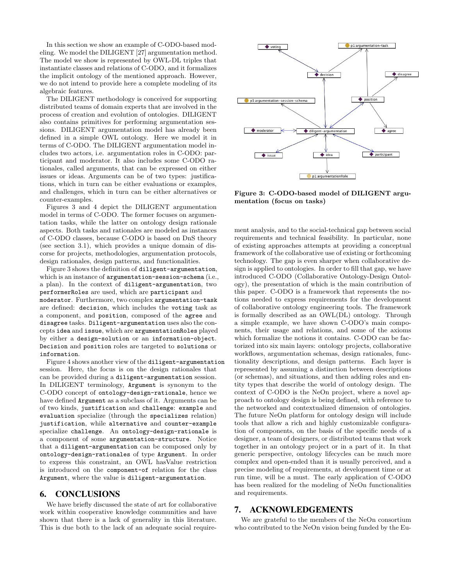In this section we show an example of C-ODO-based modeling. We model the DILIGENT [27] argumentation method. The model we show is represented by OWL-DL triples that instantiate classes and relations of C-ODO, and it formalizes the implicit ontology of the mentioned approach. However, we do not intend to provide here a complete modeling of its algebraic features.

The DILIGENT methodology is conceived for supporting distributed teams of domain experts that are involved in the process of creation and evolution of ontologies. DILIGENT also contains primitives for performing argumentation sessions. DILIGENT argumentation model has already been defined in a simple OWL ontology. Here we model it in terms of C-ODO. The DILIGENT argumentation model includes two actors, i.e. argumentation roles in C-ODO: participant and moderator. It also includes some C-ODO rationales, called arguments, that can be expressed on either issues or ideas. Arguments can be of two types: justifications, which in turn can be either evaluations or examples, and challenges, which in turn can be either alternatives or counter-examples.

Figures 3 and 4 depict the DILIGENT argumentation model in terms of C-ODO. The former focuses on argumentation tasks, while the latter on ontology design rationale aspects. Both tasks and rationales are modeled as instances of C-ODO classes, because C-ODO is based on DnS theory (see section 3.1), which provides a unique domain of discorse for projects, methodologies, argumentation protocols, design rationales, design patterns, and functionalities.

Figure 3 shows the definition of diligent-argumentation, which is an instance of argumentation-session-schema (i.e., a plan). In the context of diligent-argumentation, two performerRoles are used, which are participant and moderator. Furthermore, two complex argumentation-task are defined: decision, which includes the voting task as a component, and position, composed of the agree and disagree tasks. Diligent-argumentation uses also the concepts idea and issue, which are argumentationRoles played by either a design-solution or an information-object. Decision and position roles are targeted to solutions or information.

Figure 4 shows another view of the diligent-argumentation session. Here, the focus is on the design rationales that can be provided during a diligent-argumentation session. In DILIGENT terminology, Argument is synonym to the C-ODO concept of ontology-design-rationale, hence we have defined Argument as a subclass of it. Arguments can be of two kinds, justification and challenge: example and evaluation specialize (through the specializes relation) justification, while alternative and counter-example specialize challenge. An ontology-design-rationale is a component of some argumentation-structure. Notice that a diligent-argumentation can be composed only by ontology-design-rationales of type Argument. In order to express this constraint, an OWL hasValue restriction is introduced on the component-of relation for the class Argument, where the value is diligent-argumentation.

### 6. CONCLUSIONS

We have briefly discussed the state of art for collaborative work within cooperative knowledge communities and have shown that there is a lack of generality in this literature. This is due both to the lack of an adequate social require-



Figure 3: C-ODO-based model of DILIGENT argumentation (focus on tasks)

ment analysis, and to the social-technical gap between social requirements and technical feasibility. In particular, none of existing approaches attempts at providing a conceptual framework of the collaborative use of existing or forthcoming technology. The gap is even sharper when collaborative design is applied to ontologies. In order to fill that gap, we have introduced C-ODO (Collaborative Ontology-Design Ontology), the presentation of which is the main contribution of this paper. C-ODO is a framework that represents the notions needed to express requirements for the development of collaborative ontology engineering tools. The framework is formally described as an OWL(DL) ontology. Through a simple example, we have shown C-ODO's main components, their usage and relations, and some of the axioms which formalize the notions it contains. C-ODO can be factorized into six main layers: ontology projects, collaborative workflows, argumentation schemas, design rationales, functionality descriptions, and design patterns. Each layer is represented by assuming a distinction between descriptions (or schemas), and situations, and then adding roles and entity types that describe the world of ontology design. The context of C-ODO is the NeOn project, where a novel approach to ontology design is being defined, with reference to the networked and contextualized dimension of ontologies. The future NeOn platform for ontology design will include tools that allow a rich and highly customizable configuration of components, on the basis of the specific needs of a designer, a team of designers, or distributed teams that work together in an ontology project or in a part of it. In that generic perspective, ontology lifecycles can be much more complex and open-ended than it is usually perceived, and a precise modeling of requirements, at development time or at run time, will be a must. The early application of C-ODO has been realized for the modeling of NeOn functionalities and requirements.

## 7. ACKNOWLEDGEMENTS

We are grateful to the members of the NeOn consortium who contributed to the NeOn vision being funded by the Eu-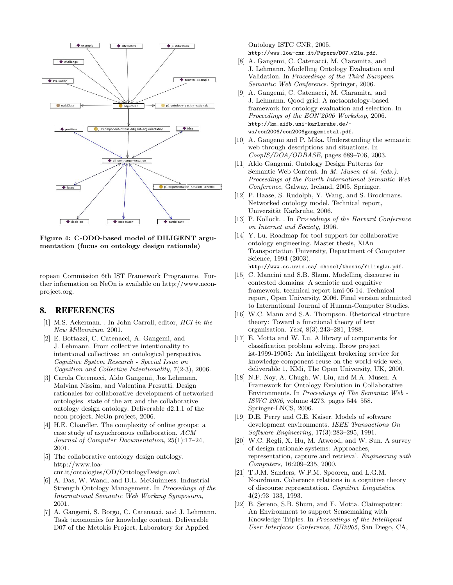

Figure 4: C-ODO-based model of DILIGENT argumentation (focus on ontology design rationale)

ropean Commission 6th IST Framework Programme. Further information on NeOn is available on http://www.neonproject.org.

## 8. REFERENCES

- [1] M.S. Ackerman. . In John Carroll, editor, HCI in the New Millennium, 2001.
- [2] E. Bottazzi, C. Catenacci, A. Gangemi, and J. Lehmann. From collective intentionality to intentional collectives: an ontological perspective. Cognitive System Research - Special Issue on Cognition and Collective Intentionality, 7(2-3), 2006.
- [3] Carola Catenacci, Aldo Gangemi, Jos Lehmann, Malvina Nissim, and Valentina Presutti. Design rationales for collaborative development of networked ontologies state of the art and the collaborative ontology design ontology. Deliverable d2.1.1 of the neon project, NeOn project, 2006.
- [4] H.E. Chandler. The complexity of online groups: a case study of asynchronous collaboration. ACM Journal of Computer Documentation, 25(1):17–24, 2001.
- [5] The collaborative ontology design ontology. http://www.loacnr.it/ontologies/OD/OntologyDesign.owl.
- [6] A. Das, W. Wand, and D.L. McGuinness. Industrial Strength Ontology Management. In Proceedings of the International Semantic Web Working Symposium, 2001.
- [7] A. Gangemi, S. Borgo, C. Catenacci, and J. Lehmann. Task taxonomies for knowledge content. Deliverable D07 of the Metokis Project, Laboratory for Applied

Ontology ISTC CNR, 2005. http://www.loa-cnr.it/Papers/D07\_v21a.pdf.

- [8] A. Gangemi, C. Catenacci, M. Ciaramita, and J. Lehmann. Modelling Ontology Evaluation and Validation. In Proceedings of the Third European Semantic Web Conference. Springer, 2006.
- [9] A. Gangemi, C. Catenacci, M. Ciaramita, and J. Lehmann. Qood grid. A metaontology-based framework for ontology evaluation and selection. In Proceedings of the EON'2006 Workshop, 2006. http://km.aifb.uni-karlsruhe.de/ ws/eon2006/eon2006gangemietal.pdf.
- [10] A. Gangemi and P. Mika. Understanding the semantic web through descriptions and situations. In CoopIS/DOA/ODBASE, pages 689–706, 2003.
- [11] Aldo Gangemi. Ontology Design Patterns for Semantic Web Content. In M. Musen et al. (eds.): Proceedings of the Fourth International Semantic Web Conference, Galway, Ireland, 2005. Springer.
- [12] P. Haase, S. Rudolph, Y. Wang, and S. Brockmans. Networked ontology model. Technical report, Universität Karlsruhe, 2006.
- [13] P. Kollock. . In Proceedings of the Harvard Conference on Internet and Society, 1996.
- [14] Y. Lu. Roadmap for tool support for collaborative ontology engineering. Master thesis, XiAn Transportation University, Department of Computer Science, 1994 (2003). http://www.cs.uvic.ca/ chisel/thesis/YilingLu.pdf.
- [15] C. Mancini and S.B. Shum. Modelling discourse in contested domains: A semiotic and cognitive framework. technical report kmi-06-14. Technical report, Open University, 2006. Final version submitted to International Journal of Human-Computer Studies.
- [16] W.C. Mann and S.A. Thompson. Rhetorical structure theory: Toward a functional theory of text organisation. Text, 8(3):243–281, 1988.
- [17] E. Motta and W. Lu. A library of components for classification problem solving. Ibrow project ist-1999-19005: An intelligent brokering service for knowledge-component reuse on the world-wide web, deliverable 1, KMi, The Open University, UK, 2000.
- [18] N.F. Noy, A. Chugh, W. Liu, and M.A. Musen. A Framework for Ontology Evolution in Collaborative Environments. In Proceedings of The Semantic Web - ISWC 2006, volume 4273, pages 544–558. Springer-LNCS, 2006.
- [19] D.E. Perry and G.E. Kaiser. Models of software development environments. IEEE Transactions On Software Engineering, 17(3):283–295, 1991.
- [20] W.C. Regli, X. Hu, M. Atwood, and W. Sun. A survey of design rationale systems: Approaches, representation, capture and retrieval. Engineering with Computers, 16:209–235, 2000.
- [21] T.J.M. Sanders, W.P.M. Spooren, and L.G.M. Noordman. Coherence relations in a cognitive theory of discourse representation. Cognitive Linguistics, 4(2):93–133, 1993.
- [22] B. Sereno, S.B. Shum, and E. Motta. Claimspotter: An Environment to support Sensemaking with Knowledge Triples. In Proceedings of the Intelligent User Interfaces Conference, IUI2005, San Diego, CA,